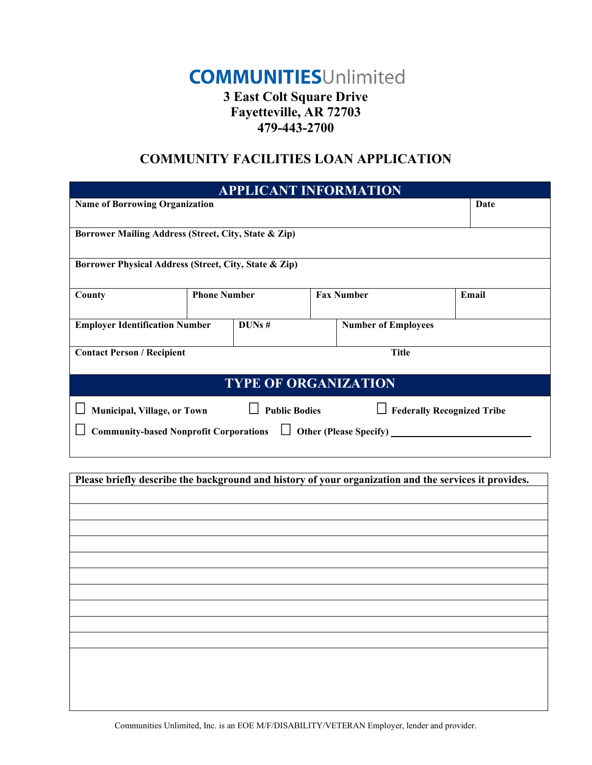# **COMMUNITIESUnlimited**

#### **3 East Colt Square Drive Fayetteville, AR 72703 479-443-2700**

## **COMMUNITY FACILITIES LOAN APPLICATION**

| <b>APPLICANT INFORMATION</b>                                            |                      |                                     |                                   |  |  |       |  |
|-------------------------------------------------------------------------|----------------------|-------------------------------------|-----------------------------------|--|--|-------|--|
| <b>Name of Borrowing Organization</b>                                   |                      |                                     |                                   |  |  | Date  |  |
| Borrower Mailing Address (Street, City, State & Zip)                    |                      |                                     |                                   |  |  |       |  |
| Borrower Physical Address (Street, City, State & Zip)                   |                      |                                     |                                   |  |  |       |  |
| County                                                                  | <b>Phone Number</b>  |                                     | <b>Fax Number</b>                 |  |  | Email |  |
| <b>Employer Identification Number</b>                                   |                      | DUNs#<br><b>Number of Employees</b> |                                   |  |  |       |  |
| <b>Contact Person / Recipient</b>                                       |                      | <b>Title</b>                        |                                   |  |  |       |  |
| <b>TYPE OF ORGANIZATION</b>                                             |                      |                                     |                                   |  |  |       |  |
| <b>Municipal, Village, or Town</b>                                      | <b>Public Bodies</b> |                                     | <b>Federally Recognized Tribe</b> |  |  |       |  |
| <b>Community-based Nonprofit Corporations</b><br>Other (Please Specify) |                      |                                     |                                   |  |  |       |  |

**Please briefly describe the background and history of your organization and the services it provides.** 

Communities Unlimited, Inc. is an EOE M/F/DISABILITY/VETERAN Employer, lender and provider.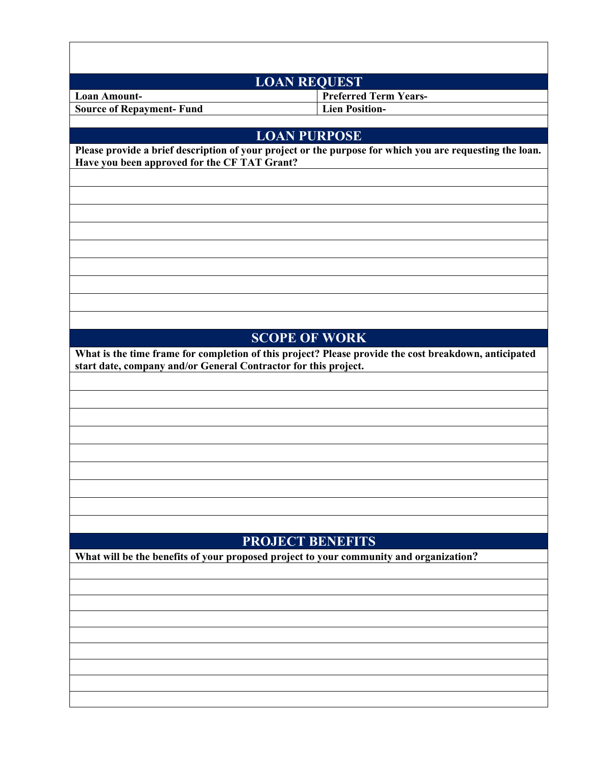| <b>LOAN REQUEST</b>             |                              |  |  |  |
|---------------------------------|------------------------------|--|--|--|
| Loan Amount-                    | <b>Preferred Term Years-</b> |  |  |  |
| <b>Source of Repayment-Fund</b> | <b>Lien Position-</b>        |  |  |  |
|                                 |                              |  |  |  |

#### **LOAN PURPOSE**

**Please provide a brief description of your project or the purpose for which you are requesting the loan. Have you been approved for the CF TAT Grant?**

## **SCOPE OF WORK**

**What is the time frame for completion of this project? Please provide the cost breakdown, anticipated start date, company and/or General Contractor for this project.**

### **PROJECT BENEFITS**

**What will be the benefits of your proposed project to your community and organization?**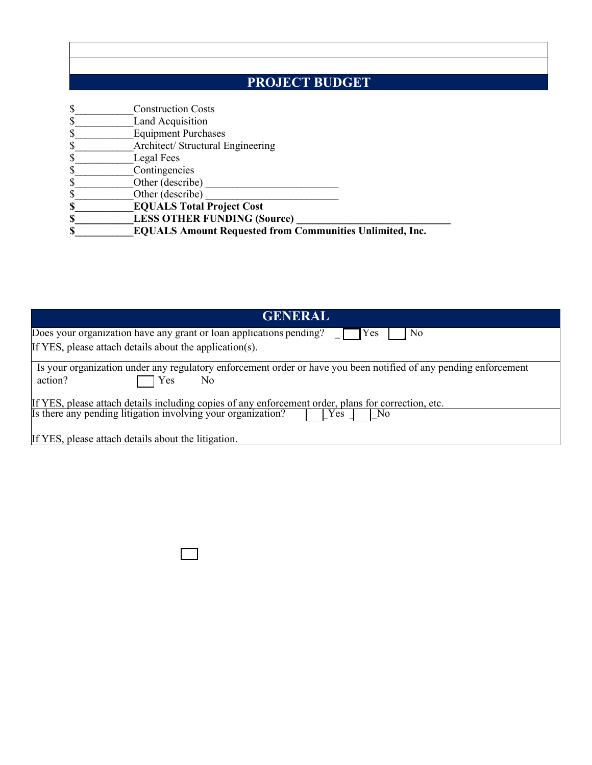## **PROJECT BUDGET**

| \$<br><b>Construction Costs</b>                                       |
|-----------------------------------------------------------------------|
| \$<br>Land Acquisition                                                |
| \$<br><b>Equipment Purchases</b>                                      |
| \$<br>Architect/ Structural Engineering                               |
| \$<br>Legal Fees                                                      |
| \$<br>Contingencies                                                   |
| \$<br>Other (describe)                                                |
| \$<br>Other (describe)                                                |
| \$<br><b>EQUALS Total Project Cost</b>                                |
| \$<br><b>LESS OTHER FUNDING (Source)</b>                              |
| \$<br><b>EQUALS Amount Requested from Communities Unlimited, Inc.</b> |

| <b>GENERAL</b>                                                                                                                             |
|--------------------------------------------------------------------------------------------------------------------------------------------|
| Does your organization have any grant or loan applications pending?<br>Yes.<br>N <sub>0</sub>                                              |
| If YES, please attach details about the application(s).                                                                                    |
| Is your organization under any regulatory enforcement order or have you been notified of any pending enforcement<br>action?<br>Yes.<br>No. |
| If YES, please attach details including copies of any enforcement order, plans for correction, etc.                                        |
| Is there any pending litigation involving your organization?<br>No.<br>$v_{\rm es}$                                                        |
| If YES, please attach details about the litigation.                                                                                        |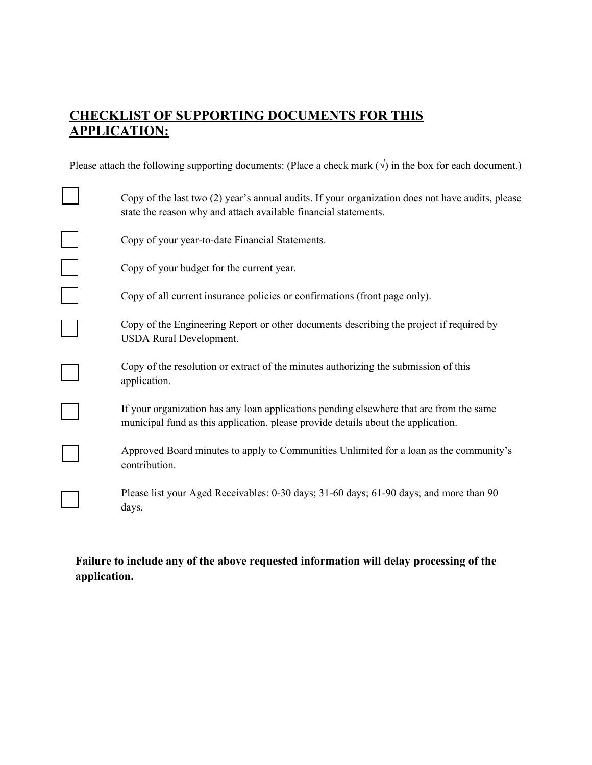## **CHECKLIST OF SUPPORTING DOCUMENTS FOR THIS APPLICATION:**

Please attach the following supporting documents: (Place a check mark  $(\sqrt)$  in the box for each document.)

| Copy of the last two (2) year's annual audits. If your organization does not have audits, please<br>state the reason why and attach available financial statements.          |
|------------------------------------------------------------------------------------------------------------------------------------------------------------------------------|
| Copy of your year-to-date Financial Statements.                                                                                                                              |
| Copy of your budget for the current year.                                                                                                                                    |
| Copy of all current insurance policies or confirmations (front page only).                                                                                                   |
| Copy of the Engineering Report or other documents describing the project if required by<br><b>USDA Rural Development.</b>                                                    |
| Copy of the resolution or extract of the minutes authorizing the submission of this<br>application.                                                                          |
| If your organization has any loan applications pending elsewhere that are from the same<br>municipal fund as this application, please provide details about the application. |
| Approved Board minutes to apply to Communities Unlimited for a loan as the community's<br>contribution.                                                                      |
| Please list your Aged Receivables: 0-30 days; 31-60 days; 61-90 days; and more than 90<br>days.                                                                              |

**Failure to include any of the above requested information will delay processing of the application.**